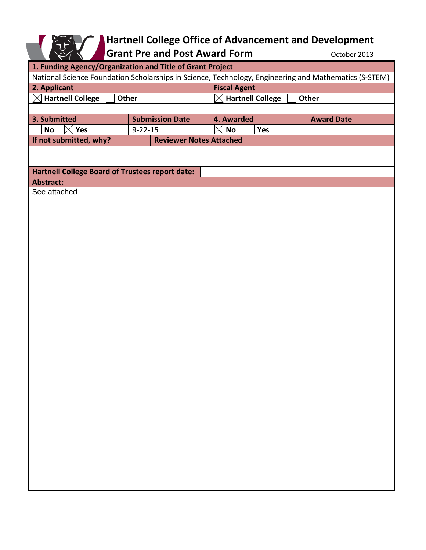## **Hartnell College Office of Advancement and Development**

Grant Pre and Post Award Form **COLOGIST COLOGIST** October 2013

| 1. Funding Agency/Organization and Title of Grant Project                                             |                                |                                         |                   |
|-------------------------------------------------------------------------------------------------------|--------------------------------|-----------------------------------------|-------------------|
| National Science Foundation Scholarships in Science, Technology, Engineering and Mathematics (S-STEM) |                                |                                         |                   |
| 2. Applicant                                                                                          |                                | <b>Fiscal Agent</b>                     |                   |
| <b>Hartnell College</b><br><b>Other</b><br>$\boxtimes$                                                |                                | <b>Hartnell College</b><br><b>Other</b> |                   |
|                                                                                                       |                                |                                         |                   |
| 3. Submitted                                                                                          | <b>Submission Date</b>         | 4. Awarded                              | <b>Award Date</b> |
| <b>Yes</b><br>No                                                                                      | $9 - 22 - 15$                  | No<br>Yes<br>IX                         |                   |
| If not submitted, why?                                                                                | <b>Reviewer Notes Attached</b> |                                         |                   |
|                                                                                                       |                                |                                         |                   |
|                                                                                                       |                                |                                         |                   |
| <b>Hartnell College Board of Trustees report date:</b>                                                |                                |                                         |                   |
| <b>Abstract:</b>                                                                                      |                                |                                         |                   |
| See attached                                                                                          |                                |                                         |                   |
|                                                                                                       |                                |                                         |                   |
|                                                                                                       |                                |                                         |                   |
|                                                                                                       |                                |                                         |                   |
|                                                                                                       |                                |                                         |                   |
|                                                                                                       |                                |                                         |                   |
|                                                                                                       |                                |                                         |                   |
|                                                                                                       |                                |                                         |                   |
|                                                                                                       |                                |                                         |                   |
|                                                                                                       |                                |                                         |                   |
|                                                                                                       |                                |                                         |                   |
|                                                                                                       |                                |                                         |                   |
|                                                                                                       |                                |                                         |                   |